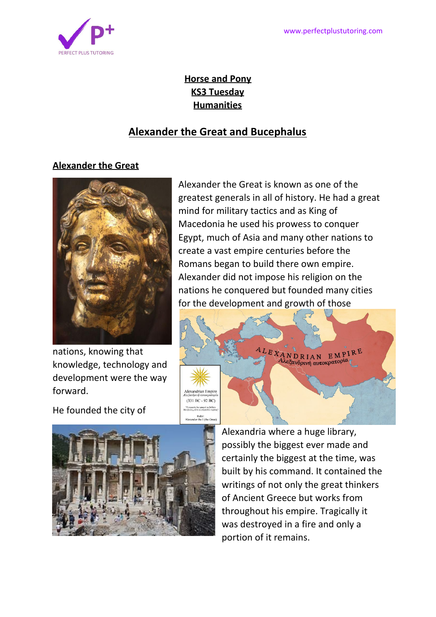

# **Horse and Pony KS3 Tuesday Humanities**

# **Alexander the Great and Bucephalus**

## **Alexander the Great**



nations, knowing that knowledge, technology and development were the way forward.

He founded the city of

greatest generals in all of history. He had a great mind for military tactics and as King of Macedonia he used his prowess to conquer Egypt, much of Asia and many other nations to create a vast empire centuries before the Romans began to build there own empire. Alexander did not impose his religion on the nations he conquered but founded many cities for the development and growth of those

Alexander the Great is known as one of the





Alexandria where a huge library, possibly the biggest ever made and certainly the biggest at the time, was built by his command. It contained the writings of not only the great thinkers of Ancient Greece but works from throughout his empire. Tragically it was destroyed in a fire and only a portion of it remains.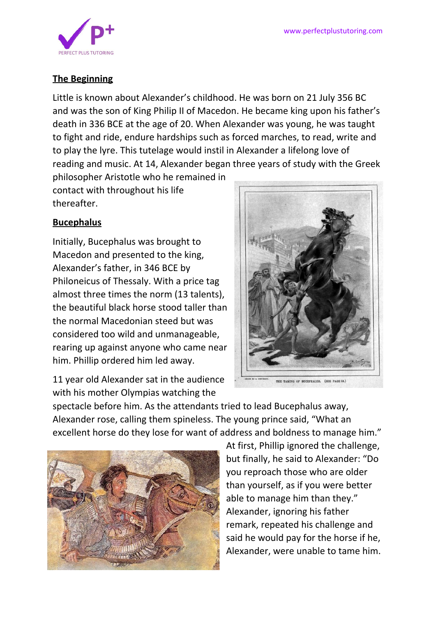

### **The Beginning**

Little is known about Alexander's childhood. He was born on 21 July 356 BC and was the son of King Philip II of Macedon. He became king upon his father's death in 336 BCE at the age of 20. When Alexander was young, he was taught to fight and ride, endure hardships such as forced marches, to read, write and to play the lyre. This tutelage would instil in Alexander a lifelong love of reading and music. At 14, Alexander began three years of study with the Greek philosopher Aristotle who he remained in

contact with throughout his life thereafter.

## **Bucephalus**

Initially, Bucephalus was brought to Macedon and presented to the king, Alexander's father, in 346 BCE by Philoneicus of Thessaly. With a price tag almost three times the norm (13 talents), the beautiful black horse stood taller than the normal Macedonian steed but was considered too wild and unmanageable, rearing up against anyone who came near him. Phillip ordered him led away.

11 year old Alexander sat in the audience with his mother Olympias watching the



spectacle before him. As the attendants tried to lead Bucephalus away, Alexander rose, calling them spineless. The young prince said, "What an excellent horse do they lose for want of address and boldness to manage him."



At first, Phillip ignored the challenge, but finally, he said to Alexander: "Do you reproach those who are older than yourself, as if you were better able to manage him than they." Alexander, ignoring his father remark, repeated his challenge and said he would pay for the horse if he, Alexander, were unable to tame him.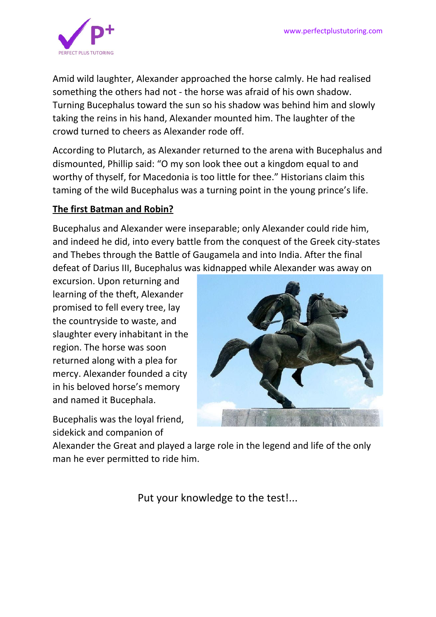

Amid wild laughter, Alexander approached the horse calmly. He had realised something the others had not - the horse was afraid of his own shadow. Turning Bucephalus toward the sun so his shadow was behind him and slowly taking the reins in his hand, Alexander mounted him. The laughter of the crowd turned to cheers as Alexander rode off.

According to Plutarch, as Alexander returned to the arena with Bucephalus and dismounted, Phillip said: "O my son look thee out a kingdom equal to and worthy of thyself, for Macedonia is too little for thee." Historians claim this taming of the wild Bucephalus was a turning point in the young prince's life.

# **The first Batman and Robin?**

Bucephalus and Alexander were inseparable; only Alexander could ride him, and indeed he did, into every battle from the conquest of the Greek city-states and Thebes through the Battle of Gaugamela and into India. After the final defeat of Darius III, Bucephalus was kidnapped while Alexander was away on

excursion. Upon returning and learning of the theft, Alexander promised to fell every tree, lay the countryside to waste, and slaughter every inhabitant in the region. The horse was soon returned along with a plea for mercy. Alexander founded a city in his beloved horse's memory and named it Bucephala.

Bucephalis was the loyal friend, sidekick and companion of



Alexander the Great and played a large role in the legend and life of the only man he ever permitted to ride him.

Put your knowledge to the test!...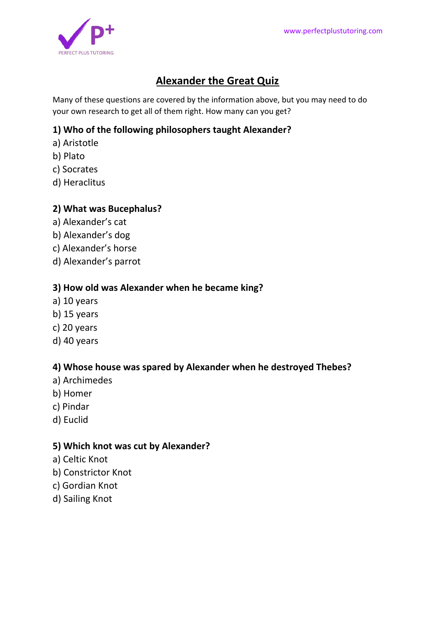

# **Alexander the Great Quiz**

Many of these questions are covered by the information above, but you may need to do your own research to get all of them right. How many can you get?

### **1) Who of the following philosophers taught Alexander?**

- a) Aristotle
- b) Plato
- c) Socrates
- d) Heraclitus

#### **2) What was Bucephalus?**

- a) Alexander's cat
- b) Alexander's dog
- c) Alexander's horse
- d) Alexander's parrot

#### **3) How old was Alexander when he became king?**

- a) 10 years
- b) 15 years
- c) 20 years
- d) 40 years

#### **4) Whose house was spared by Alexander when he destroyed Thebes?**

- a) Archimedes
- b) Homer
- c) Pindar
- d) Euclid

#### **5) Which knot was cut by Alexander?**

- a) Celtic Knot
- b) Constrictor Knot
- c) Gordian Knot
- d) Sailing Knot